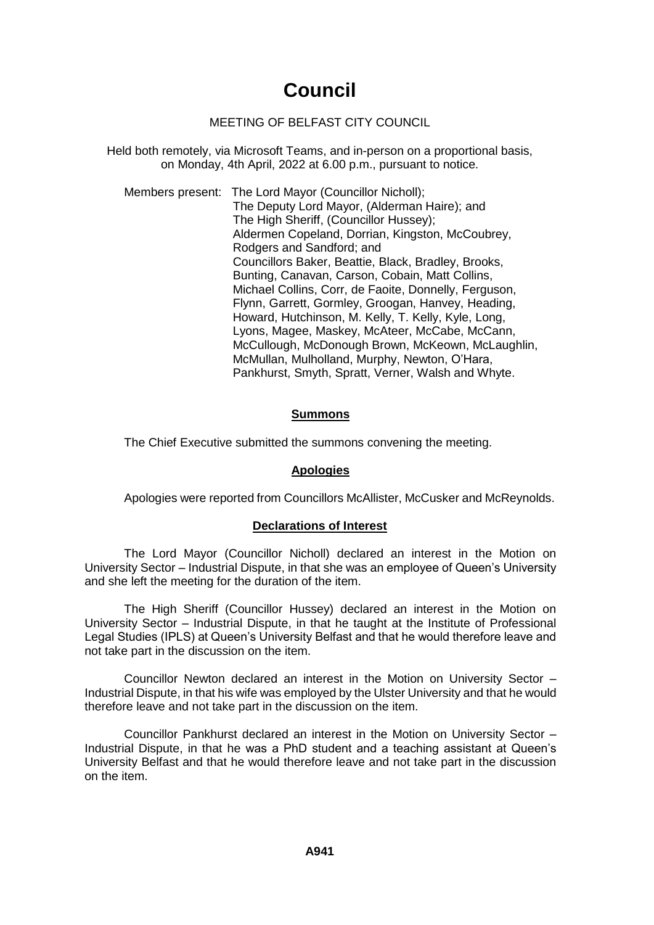# **Council**

# MEETING OF BELFAST CITY COUNCIL

Held both remotely, via Microsoft Teams, and in-person on a proportional basis, on Monday, 4th April, 2022 at 6.00 p.m., pursuant to notice.

Members present: The Lord Mayor (Councillor Nicholl); The Deputy Lord Mayor, (Alderman Haire); and The High Sheriff, (Councillor Hussey); Aldermen Copeland, Dorrian, Kingston, McCoubrey, Rodgers and Sandford; and Councillors Baker, Beattie, Black, Bradley, Brooks, Bunting, Canavan, Carson, Cobain, Matt Collins, Michael Collins, Corr, de Faoite, Donnelly, Ferguson, Flynn, Garrett, Gormley, Groogan, Hanvey, Heading, Howard, Hutchinson, M. Kelly, T. Kelly, Kyle, Long, Lyons, Magee, Maskey, McAteer, McCabe, McCann, McCullough, McDonough Brown, McKeown, McLaughlin, McMullan, Mulholland, Murphy, Newton, O'Hara, Pankhurst, Smyth, Spratt, Verner, Walsh and Whyte.

# **Summons**

The Chief Executive submitted the summons convening the meeting.

# **Apologies**

Apologies were reported from Councillors McAllister, McCusker and McReynolds.

# **Declarations of Interest**

The Lord Mayor (Councillor Nicholl) declared an interest in the Motion on University Sector – Industrial Dispute, in that she was an employee of Queen's University and she left the meeting for the duration of the item.

The High Sheriff (Councillor Hussey) declared an interest in the Motion on University Sector – Industrial Dispute, in that he taught at the Institute of Professional Legal Studies (IPLS) at Queen's University Belfast and that he would therefore leave and not take part in the discussion on the item.

Councillor Newton declared an interest in the Motion on University Sector – Industrial Dispute, in that his wife was employed by the Ulster University and that he would therefore leave and not take part in the discussion on the item.

Councillor Pankhurst declared an interest in the Motion on University Sector – Industrial Dispute, in that he was a PhD student and a teaching assistant at Queen's University Belfast and that he would therefore leave and not take part in the discussion on the item.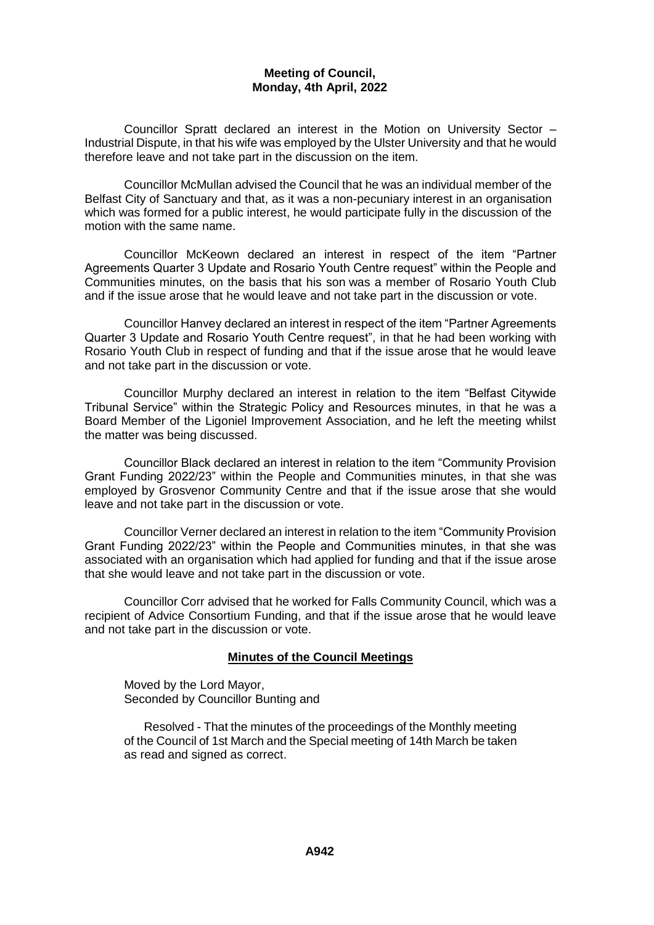Councillor Spratt declared an interest in the Motion on University Sector – Industrial Dispute, in that his wife was employed by the Ulster University and that he would therefore leave and not take part in the discussion on the item.

Councillor McMullan advised the Council that he was an individual member of the Belfast City of Sanctuary and that, as it was a non-pecuniary interest in an organisation which was formed for a public interest, he would participate fully in the discussion of the motion with the same name.

Councillor McKeown declared an interest in respect of the item "Partner Agreements Quarter 3 Update and Rosario Youth Centre request" within the People and Communities minutes, on the basis that his son was a member of Rosario Youth Club and if the issue arose that he would leave and not take part in the discussion or vote.

Councillor Hanvey declared an interest in respect of the item "Partner Agreements Quarter 3 Update and Rosario Youth Centre request", in that he had been working with Rosario Youth Club in respect of funding and that if the issue arose that he would leave and not take part in the discussion or vote.

Councillor Murphy declared an interest in relation to the item "Belfast Citywide Tribunal Service" within the Strategic Policy and Resources minutes, in that he was a Board Member of the Ligoniel Improvement Association, and he left the meeting whilst the matter was being discussed.

Councillor Black declared an interest in relation to the item "Community Provision Grant Funding 2022/23" within the People and Communities minutes, in that she was employed by Grosvenor Community Centre and that if the issue arose that she would leave and not take part in the discussion or vote.

Councillor Verner declared an interest in relation to the item "Community Provision Grant Funding 2022/23" within the People and Communities minutes, in that she was associated with an organisation which had applied for funding and that if the issue arose that she would leave and not take part in the discussion or vote.

Councillor Corr advised that he worked for Falls Community Council, which was a recipient of Advice Consortium Funding, and that if the issue arose that he would leave and not take part in the discussion or vote.

#### **Minutes of the Council Meetings**

Moved by the Lord Mayor, Seconded by Councillor Bunting and

Resolved - That the minutes of the proceedings of the Monthly meeting of the Council of 1st March and the Special meeting of 14th March be taken as read and signed as correct.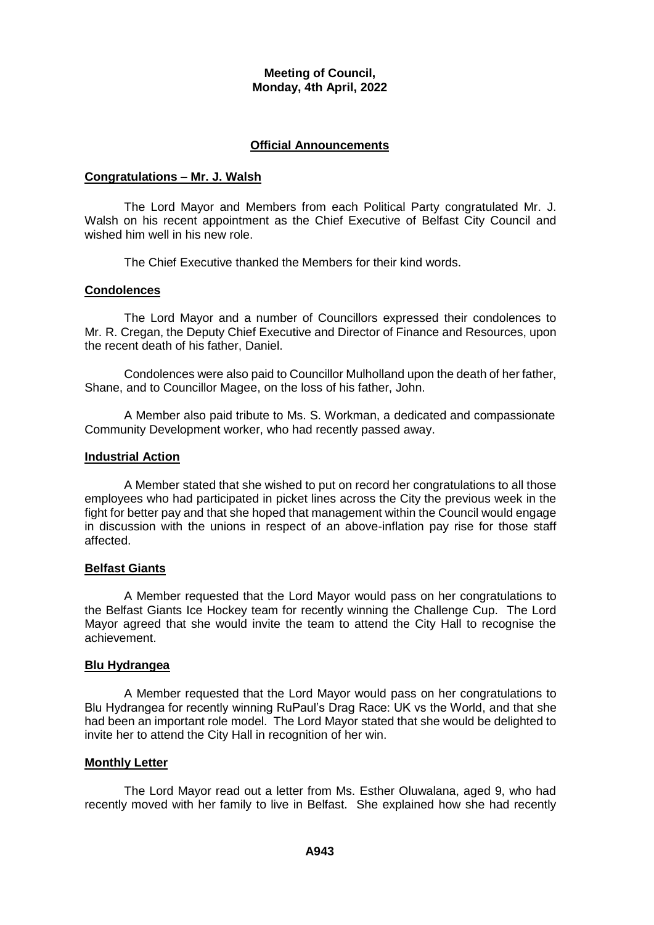#### **Official Announcements**

#### **Congratulations – Mr. J. Walsh**

The Lord Mayor and Members from each Political Party congratulated Mr. J. Walsh on his recent appointment as the Chief Executive of Belfast City Council and wished him well in his new role.

The Chief Executive thanked the Members for their kind words.

#### **Condolences**

The Lord Mayor and a number of Councillors expressed their condolences to Mr. R. Cregan, the Deputy Chief Executive and Director of Finance and Resources, upon the recent death of his father, Daniel.

Condolences were also paid to Councillor Mulholland upon the death of her father, Shane, and to Councillor Magee, on the loss of his father, John.

A Member also paid tribute to Ms. S. Workman, a dedicated and compassionate Community Development worker, who had recently passed away.

### **Industrial Action**

A Member stated that she wished to put on record her congratulations to all those employees who had participated in picket lines across the City the previous week in the fight for better pay and that she hoped that management within the Council would engage in discussion with the unions in respect of an above-inflation pay rise for those staff affected.

#### **Belfast Giants**

A Member requested that the Lord Mayor would pass on her congratulations to the Belfast Giants Ice Hockey team for recently winning the Challenge Cup. The Lord Mayor agreed that she would invite the team to attend the City Hall to recognise the achievement.

#### **Blu Hydrangea**

A Member requested that the Lord Mayor would pass on her congratulations to Blu Hydrangea for recently winning RuPaul's Drag Race: UK vs the World, and that she had been an important role model. The Lord Mayor stated that she would be delighted to invite her to attend the City Hall in recognition of her win.

#### **Monthly Letter**

The Lord Mayor read out a letter from Ms. Esther Oluwalana, aged 9, who had recently moved with her family to live in Belfast. She explained how she had recently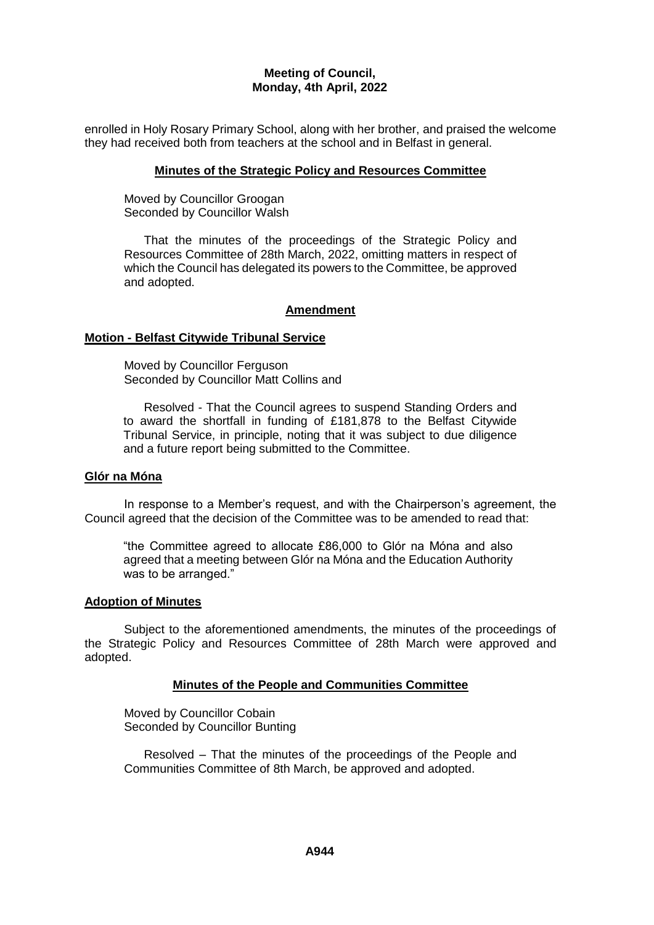enrolled in Holy Rosary Primary School, along with her brother, and praised the welcome they had received both from teachers at the school and in Belfast in general.

#### **Minutes of the Strategic Policy and Resources Committee**

Moved by Councillor Groogan Seconded by Councillor Walsh

That the minutes of the proceedings of the Strategic Policy and Resources Committee of 28th March, 2022, omitting matters in respect of which the Council has delegated its powers to the Committee, be approved and adopted.

### **Amendment**

### **Motion - Belfast Citywide Tribunal Service**

Moved by Councillor Ferguson Seconded by Councillor Matt Collins and

Resolved - That the Council agrees to suspend Standing Orders and to award the shortfall in funding of £181,878 to the Belfast Citywide Tribunal Service, in principle, noting that it was subject to due diligence and a future report being submitted to the Committee.

#### **Glór na Móna**

In response to a Member's request, and with the Chairperson's agreement, the Council agreed that the decision of the Committee was to be amended to read that:

"the Committee agreed to allocate £86,000 to Glór na Móna and also agreed that a meeting between Glór na Móna and the Education Authority was to be arranged."

#### **Adoption of Minutes**

Subject to the aforementioned amendments, the minutes of the proceedings of the Strategic Policy and Resources Committee of 28th March were approved and adopted.

#### **Minutes of the People and Communities Committee**

Moved by Councillor Cobain Seconded by Councillor Bunting

Resolved – That the minutes of the proceedings of the People and Communities Committee of 8th March, be approved and adopted.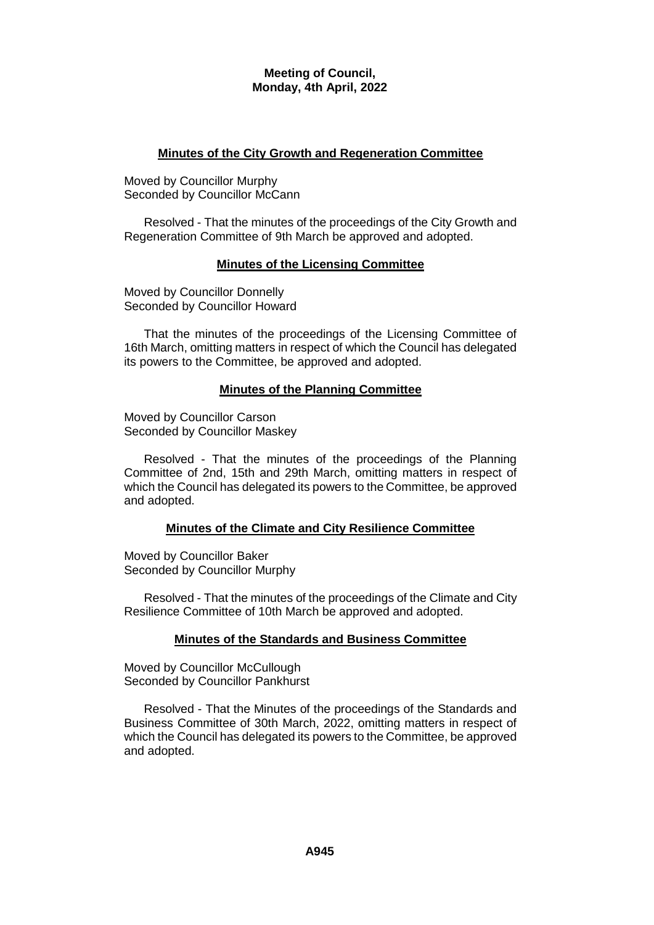### **Minutes of the City Growth and Regeneration Committee**

Moved by Councillor Murphy Seconded by Councillor McCann

Resolved - That the minutes of the proceedings of the City Growth and Regeneration Committee of 9th March be approved and adopted.

### **Minutes of the Licensing Committee**

Moved by Councillor Donnelly Seconded by Councillor Howard

That the minutes of the proceedings of the Licensing Committee of 16th March, omitting matters in respect of which the Council has delegated its powers to the Committee, be approved and adopted.

### **Minutes of the Planning Committee**

Moved by Councillor Carson Seconded by Councillor Maskey

Resolved - That the minutes of the proceedings of the Planning Committee of 2nd, 15th and 29th March, omitting matters in respect of which the Council has delegated its powers to the Committee, be approved and adopted.

#### **Minutes of the Climate and City Resilience Committee**

Moved by Councillor Baker Seconded by Councillor Murphy

Resolved - That the minutes of the proceedings of the Climate and City Resilience Committee of 10th March be approved and adopted.

# **Minutes of the Standards and Business Committee**

Moved by Councillor McCullough Seconded by Councillor Pankhurst

Resolved - That the Minutes of the proceedings of the Standards and Business Committee of 30th March, 2022, omitting matters in respect of which the Council has delegated its powers to the Committee, be approved and adopted.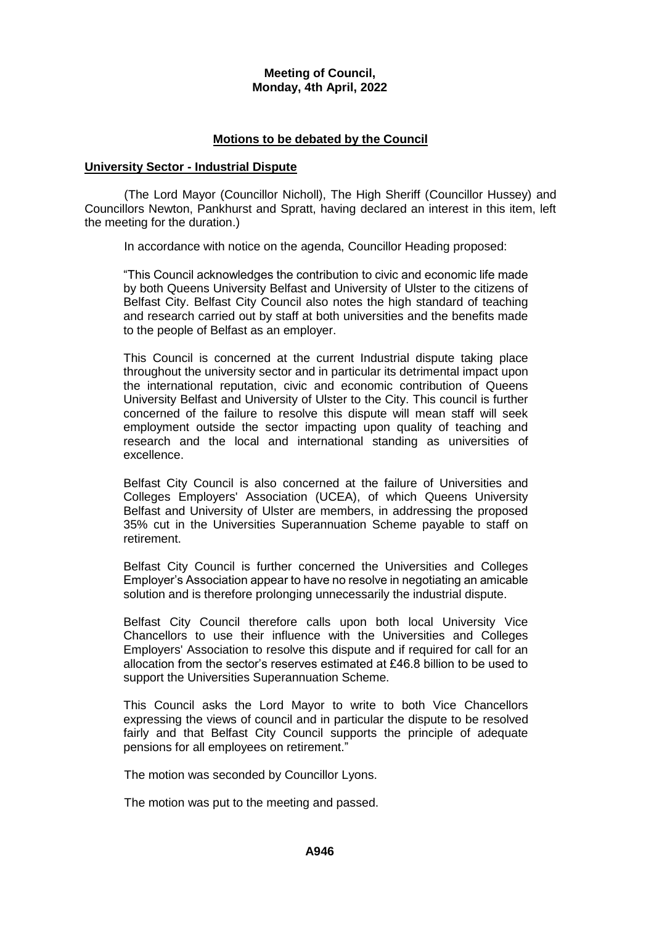### **Motions to be debated by the Council**

#### **University Sector - Industrial Dispute**

(The Lord Mayor (Councillor Nicholl), The High Sheriff (Councillor Hussey) and Councillors Newton, Pankhurst and Spratt, having declared an interest in this item, left the meeting for the duration.)

In accordance with notice on the agenda, Councillor Heading proposed:

"This Council acknowledges the contribution to civic and economic life made by both Queens University Belfast and University of Ulster to the citizens of Belfast City. Belfast City Council also notes the high standard of teaching and research carried out by staff at both universities and the benefits made to the people of Belfast as an employer.

This Council is concerned at the current Industrial dispute taking place throughout the university sector and in particular its detrimental impact upon the international reputation, civic and economic contribution of Queens University Belfast and University of Ulster to the City. This council is further concerned of the failure to resolve this dispute will mean staff will seek employment outside the sector impacting upon quality of teaching and research and the local and international standing as universities of excellence.

Belfast City Council is also concerned at the failure of Universities and Colleges Employers' Association (UCEA), of which Queens University Belfast and University of Ulster are members, in addressing the proposed 35% cut in the Universities Superannuation Scheme payable to staff on retirement.

Belfast City Council is further concerned the Universities and Colleges Employer's Association appear to have no resolve in negotiating an amicable solution and is therefore prolonging unnecessarily the industrial dispute.

Belfast City Council therefore calls upon both local University Vice Chancellors to use their influence with the Universities and Colleges Employers' Association to resolve this dispute and if required for call for an allocation from the sector's reserves estimated at £46.8 billion to be used to support the Universities Superannuation Scheme.

This Council asks the Lord Mayor to write to both Vice Chancellors expressing the views of council and in particular the dispute to be resolved fairly and that Belfast City Council supports the principle of adequate pensions for all employees on retirement."

The motion was seconded by Councillor Lyons.

The motion was put to the meeting and passed.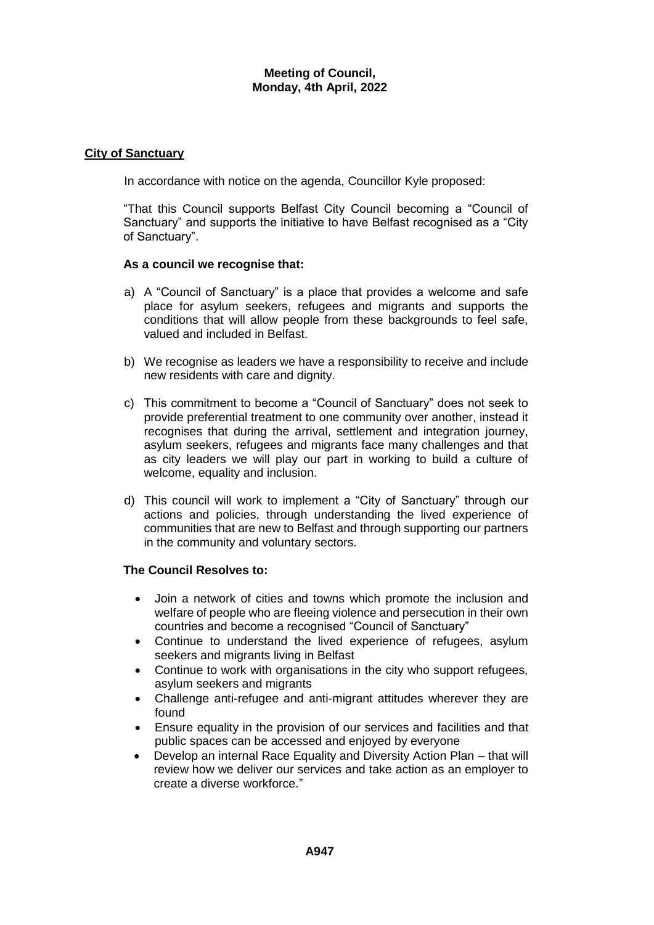### **City of Sanctuary**

In accordance with notice on the agenda, Councillor Kyle proposed:

"That this Council supports Belfast City Council becoming a "Council of Sanctuary" and supports the initiative to have Belfast recognised as a "City of Sanctuary".

### **As a council we recognise that:**

- a) A "Council of Sanctuary" is a place that provides a welcome and safe place for asylum seekers, refugees and migrants and supports the conditions that will allow people from these backgrounds to feel safe, valued and included in Belfast.
- b) We recognise as leaders we have a responsibility to receive and include new residents with care and dignity.
- c) This commitment to become a "Council of Sanctuary" does not seek to provide preferential treatment to one community over another, instead it recognises that during the arrival, settlement and integration journey, asylum seekers, refugees and migrants face many challenges and that as city leaders we will play our part in working to build a culture of welcome, equality and inclusion.
- d) This council will work to implement a "City of Sanctuary" through our actions and policies, through understanding the lived experience of communities that are new to Belfast and through supporting our partners in the community and voluntary sectors.

# **The Council Resolves to:**

- Join a network of cities and towns which promote the inclusion and welfare of people who are fleeing violence and persecution in their own countries and become a recognised "Council of Sanctuary"
- Continue to understand the lived experience of refugees, asylum seekers and migrants living in Belfast
- Continue to work with organisations in the city who support refugees, asylum seekers and migrants
- Challenge anti-refugee and anti-migrant attitudes wherever they are found
- Ensure equality in the provision of our services and facilities and that public spaces can be accessed and enjoyed by everyone
- Develop an internal Race Equality and Diversity Action Plan that will review how we deliver our services and take action as an employer to create a diverse workforce."